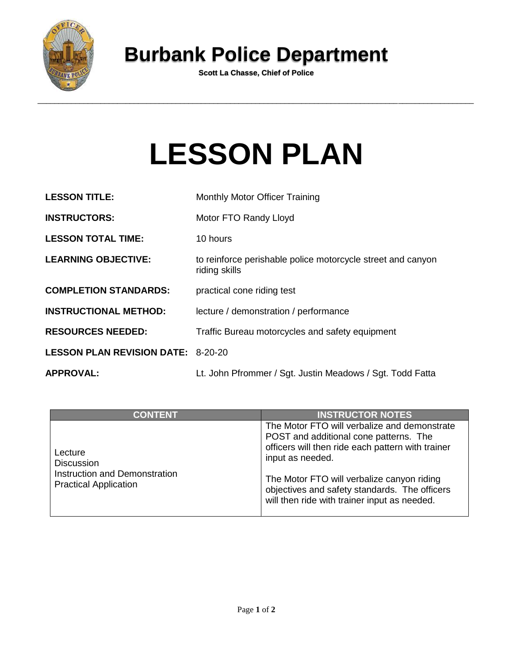

## **Burbank Police Department**

**Scott La Chasse, Chief of Police**

## **LESSON PLAN**

| <b>LESSON TITLE:</b>                      | <b>Monthly Motor Officer Training</b>                                        |
|-------------------------------------------|------------------------------------------------------------------------------|
| <b>INSTRUCTORS:</b>                       | Motor FTO Randy Lloyd                                                        |
| <b>LESSON TOTAL TIME:</b>                 | 10 hours                                                                     |
| <b>LEARNING OBJECTIVE:</b>                | to reinforce perishable police motorcycle street and canyon<br>riding skills |
| <b>COMPLETION STANDARDS:</b>              | practical cone riding test                                                   |
| <b>INSTRUCTIONAL METHOD:</b>              | lecture / demonstration / performance                                        |
| <b>RESOURCES NEEDED:</b>                  | Traffic Bureau motorcycles and safety equipment                              |
| <b>LESSON PLAN REVISION DATE: 8-20-20</b> |                                                                              |
| <b>APPROVAL:</b>                          | Lt. John Pfrommer / Sgt. Justin Meadows / Sgt. Todd Fatta                    |

| <b>CONTENT</b>                                                                                | <b>INSTRUCTOR NOTES</b>                                                                                                                                                                                                                                                                                        |
|-----------------------------------------------------------------------------------------------|----------------------------------------------------------------------------------------------------------------------------------------------------------------------------------------------------------------------------------------------------------------------------------------------------------------|
| Lecture<br><b>Discussion</b><br>Instruction and Demonstration<br><b>Practical Application</b> | The Motor FTO will verbalize and demonstrate<br>POST and additional cone patterns. The<br>officers will then ride each pattern with trainer<br>input as needed.<br>The Motor FTO will verbalize canyon riding<br>objectives and safety standards. The officers<br>will then ride with trainer input as needed. |